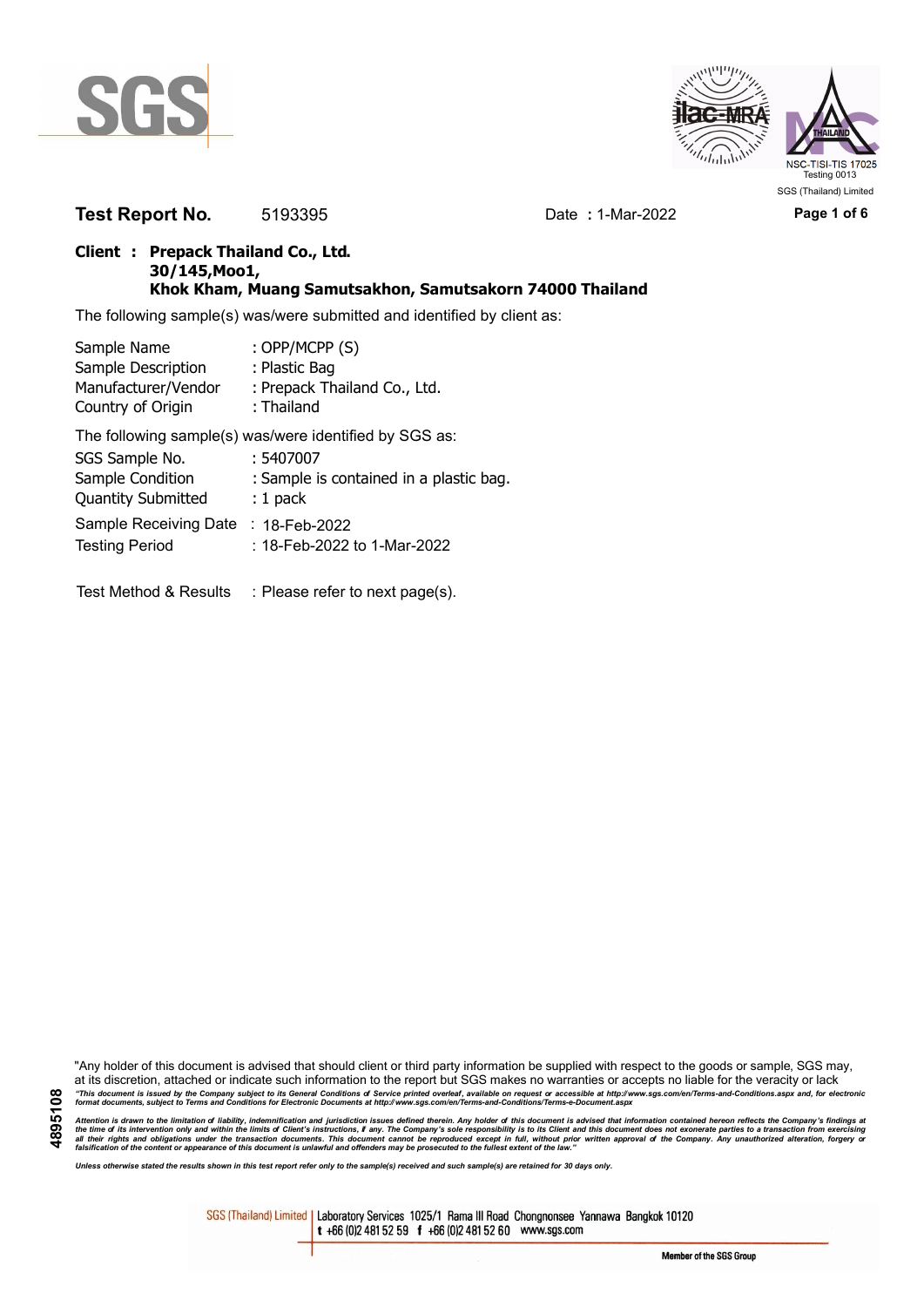



**Test Report No.** 5193395 Date **:** 1-Mar-2022 **Page 1 of 6**

## **Client : Prepack Thailand Co., Ltd. 30/145,Moo1, Khok Kham, Muang Samutsakhon, Samutsakorn 74000 Thailand**

The following sample(s) was/were submitted and identified by client as:

| Sample Name               | : OPP/MCPP (S)                                         |
|---------------------------|--------------------------------------------------------|
| Sample Description        | : Plastic Bag                                          |
| Manufacturer/Vendor       | : Prepack Thailand Co., Ltd.                           |
| Country of Origin         | : Thailand                                             |
|                           | The following sample(s) was/were identified by SGS as: |
| SGS Sample No.            | : 5407007                                              |
| Sample Condition          | : Sample is contained in a plastic bag.                |
| <b>Quantity Submitted</b> | $: 1$ pack                                             |
| Sample Receiving Date     | : $18$ -Feb-2022                                       |
| <b>Testing Period</b>     | : 18-Feb-2022 to 1-Mar-2022                            |

Test Method & Results : Please refer to next page(s).

"Any holder of this document is advised that should client or third party information be supplied with respect to the goods or sample, SGS may, at its discretion, attached or indicate such information to the report but SGS makes no warranties or accepts no liable for the veracity or lack "This document is issued by the Company subject to its General Conditions of Service printed overleaf, available on request or accessible at http://www.sgs.com/en/Terms-and-Conditions.aspx and, for electronic<br>format docume

Attention is drawn to the limitation of liability, indemnification and jurisdiction issues defined therein. Any holder of this document is advised that information contained hereon reflects the Company's findings at<br>all th

*Unless otherwise stated the results shown in this test report refer only to the sample(s) received and such sample(s) are retained for 30 days only.*

SGS (Thailand) Limited | Laboratory Services 1025/1 Rama III Road Chongnonsee Yannawa Bangkok 10120 t +66 (0)2 481 52 59 f +66 (0)2 481 52 60 www.sgs.com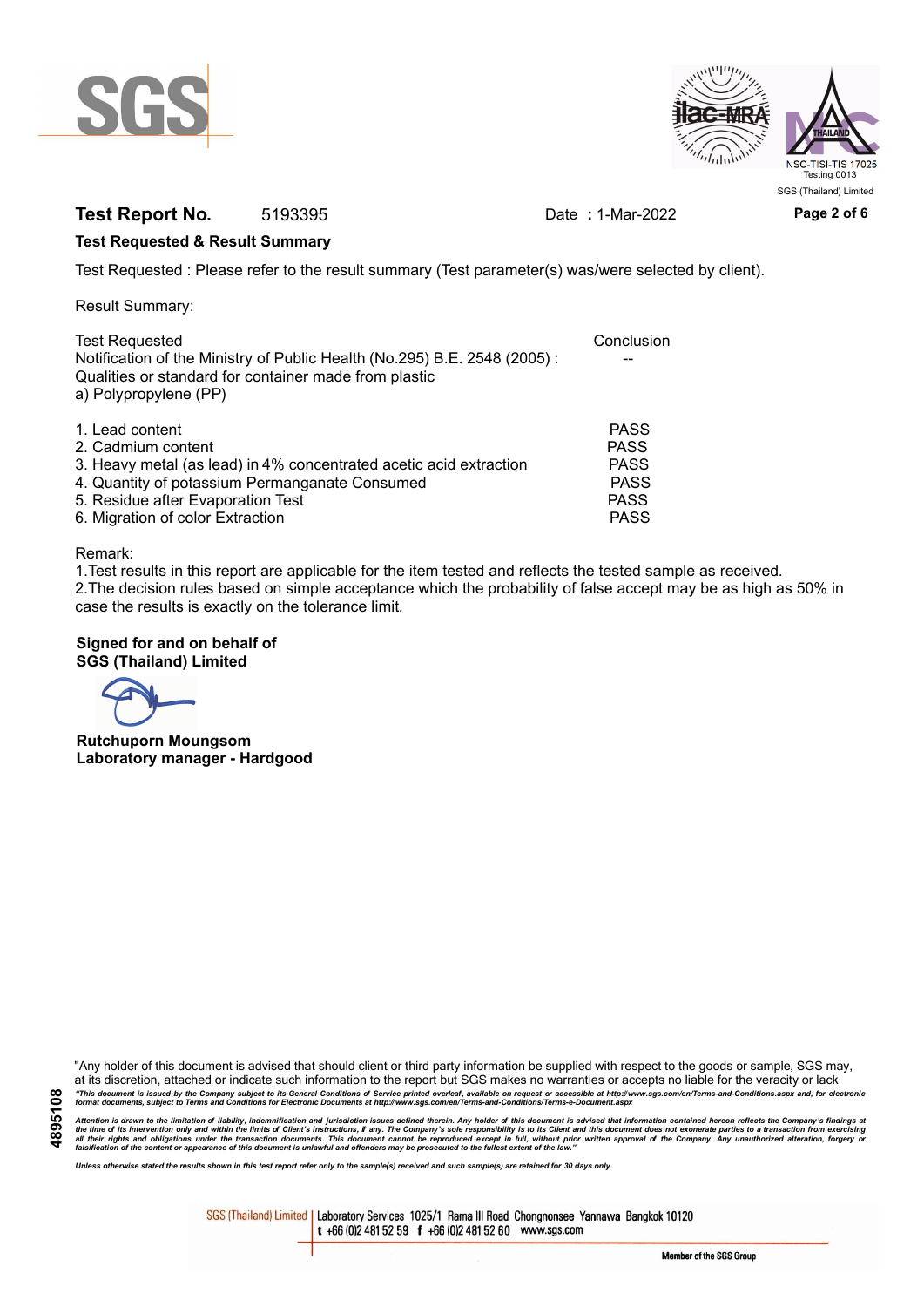



# **Test Report No.** 5193395 Date : 1-Mar-2022 Page 2 of 6

### **Test Requested & Result Summary**

Test Requested : Please refer to the result summary (Test parameter(s) was/were selected by client).

Result Summary:

| <b>Test Requested</b>                                                                                                                                      | Conclusion  |
|------------------------------------------------------------------------------------------------------------------------------------------------------------|-------------|
| Notification of the Ministry of Public Health (No.295) B.E. 2548 (2005):<br>Qualities or standard for container made from plastic<br>a) Polypropylene (PP) |             |
| 1. Lead content                                                                                                                                            | <b>PASS</b> |
| 2. Cadmium content                                                                                                                                         | <b>PASS</b> |
| 3. Heavy metal (as lead) in 4% concentrated acetic acid extraction                                                                                         | <b>PASS</b> |
| 4. Quantity of potassium Permanganate Consumed                                                                                                             | <b>PASS</b> |
| 5. Residue after Evaporation Test                                                                                                                          | <b>PASS</b> |
| 6. Migration of color Extraction                                                                                                                           | <b>PASS</b> |

#### Remark:

1.Test results in this report are applicable for the item tested and reflects the tested sample as received. 2.The decision rules based on simple acceptance which the probability of false accept may be as high as 50% in case the results is exactly on the tolerance limit.

## **Signed for and on behalf of SGS (Thailand) Limited**

**Rutchuporn Moungsom Laboratory manager - Hardgood**

"Any holder of this document is advised that should client or third party information be supplied with respect to the goods or sample, SGS may, at its discretion, attached or indicate such information to the report but SGS makes no warranties or accepts no liable for the veracity or lack "This document is issued by the Company subject to its General Conditions of Service printed overleaf, available on request or accessible at http://www.sgs.com/en/Terms-and-Conditions.aspx and, for electronic<br>format docume

Attention is drawn to the limitation of liability, indemnification and jurisdiction issues defined therein. Any holder of this document is advised that information contained hereon reflects the Company's findings at<br>all th

*Unless otherwise stated the results shown in this test report refer only to the sample(s) received and such sample(s) are retained for 30 days only.*

SGS (Thailand) Limited | Laboratory Services 1025/1 Rama III Road Chongnonsee Yannawa Bangkok 10120 t +66 (0)2 481 52 59 f +66 (0)2 481 52 60 www.sgs.com

Member of the SGS Group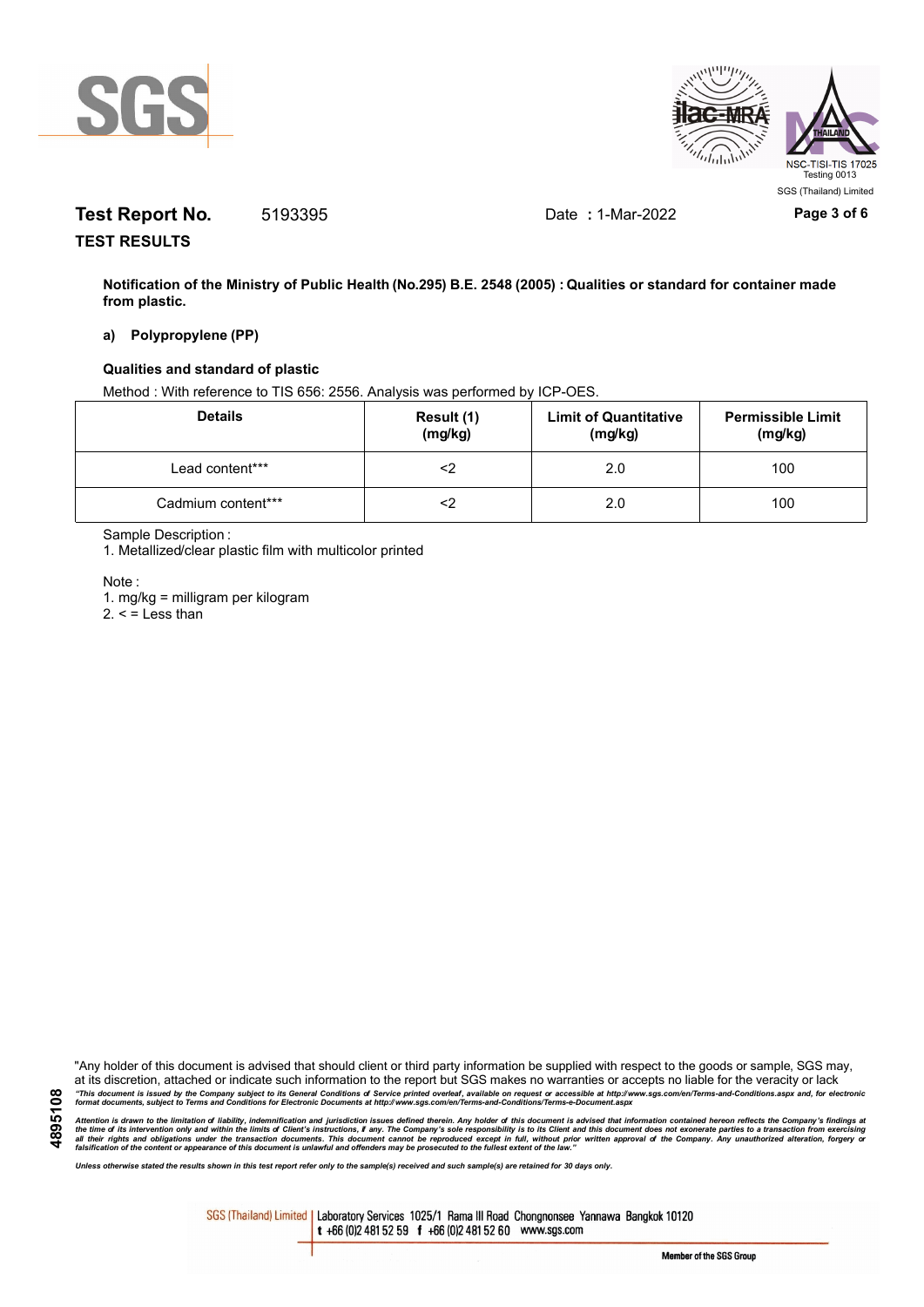



# **Test Report No.** 5193395 Date **:** 1-Mar-2022 **Page 3 of 6**

**TEST RESULTS**

**Notification of the Ministry of Public Health (No.295) B.E. 2548 (2005) : Qualities or standard for container made from plastic.**

### **a) Polypropylene (PP)**

### **Qualities and standard of plastic**

Method : With reference to TIS 656: 2556. Analysis was performed by ICP-OES.

| <b>Details</b>     | Result (1)<br>(mg/kg) | <b>Limit of Quantitative</b><br>(mg/kg) | <b>Permissible Limit</b><br>(mg/kg) |
|--------------------|-----------------------|-----------------------------------------|-------------------------------------|
| Lead content***    |                       | 2.0                                     | 100                                 |
| Cadmium content*** |                       | 2.0                                     | 100                                 |

Sample Description :

1. Metallized/clear plastic film with multicolor printed

Note :

**4895108**

1. mg/kg = milligram per kilogram

 $2. <$  = Less than

"Any holder of this document is advised that should client or third party information be supplied with respect to the goods or sample, SGS may, at its discretion, attached or indicate such information to the report but SGS makes no warranties or accepts no liable for the veracity or lack "This document is issued by the Company subject to its General Conditions of Service printed overleaf, available on request or accessible at http://www.sgs.com/en/Terms-and-Conditions.aspx and, for electronic<br>format docume

Attention is drawn to the limitation of liability, indemnification and jurisdiction issues defined therein. Any holder of this document is advised that information contained hereon reflects the Company's findings at<br>all th

*Unless otherwise stated the results shown in this test report refer only to the sample(s) received and such sample(s) are retained for 30 days only.*

SGS (Thailand) Limited | Laboratory Services 1025/1 Rama III Road Chongnonsee Yannawa Bangkok 10120 t +66 (0)2 481 52 59 f +66 (0)2 481 52 60 www.sgs.com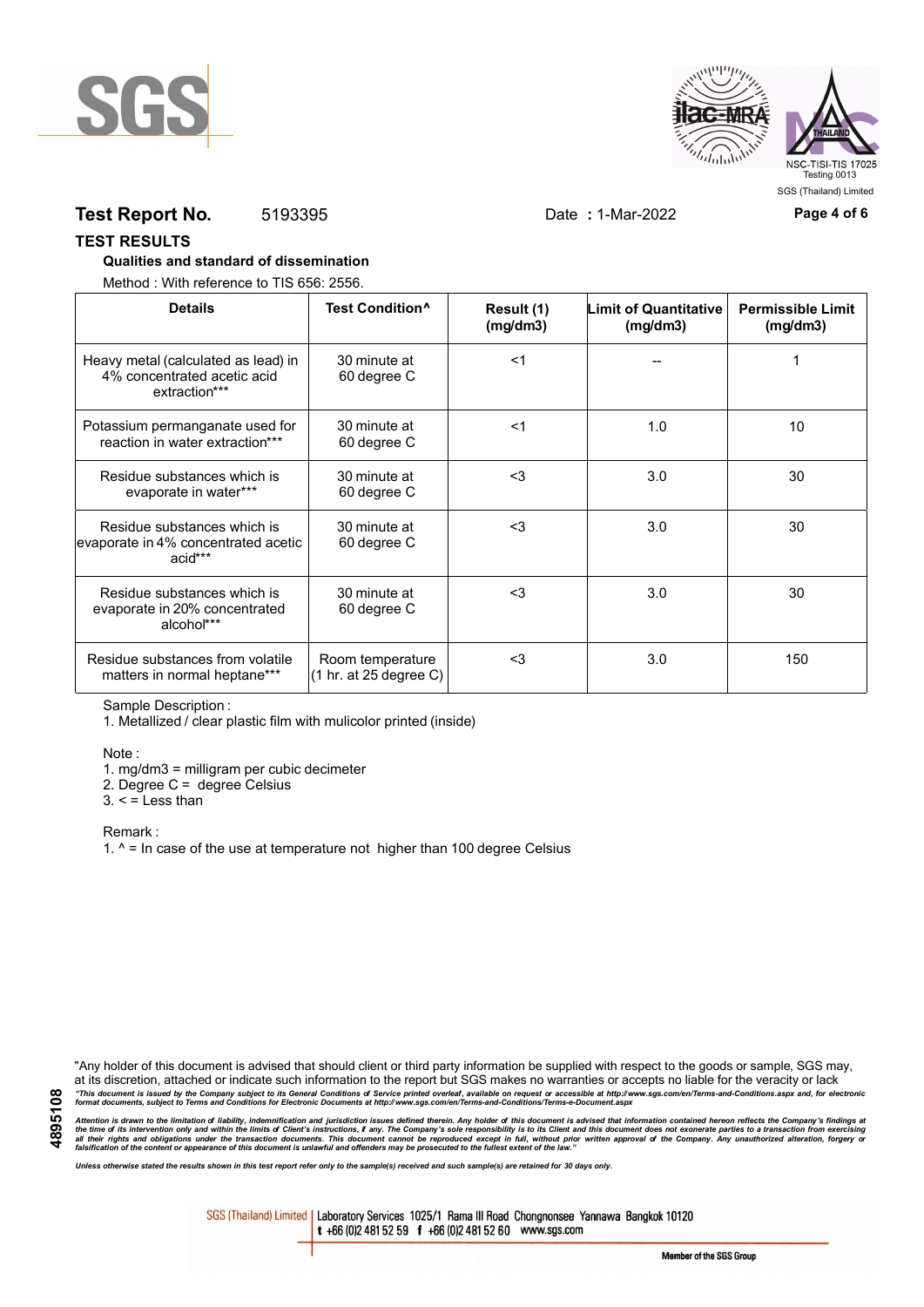



# **Test Report No.** 5193395 Date **:** 1-Mar-2022 **Page 4 of 6**

### **TEST RESULTS**

### **Qualities and standard of dissemination**

Method : With reference to TIS 656: 2556.

| <b>Details</b>                                                                      | Test Condition <sup>^</sup>                | Result (1)<br>(mq/dm3) | <b>Limit of Quantitative</b><br>(mg/dm3) | <b>Permissible Limit</b><br>(mg/dm3) |
|-------------------------------------------------------------------------------------|--------------------------------------------|------------------------|------------------------------------------|--------------------------------------|
| Heavy metal (calculated as lead) in<br>4% concentrated acetic acid<br>extraction*** | 30 minute at<br>60 degree C                | $<$ 1                  |                                          |                                      |
| Potassium permanganate used for<br>reaction in water extraction***                  | 30 minute at<br>60 degree C                | $<$ 1                  | 1.0                                      | 10                                   |
| Residue substances which is<br>evaporate in water***                                | 30 minute at<br>60 degree C                | $3$                    | 3.0                                      | 30                                   |
| Residue substances which is<br>evaporate in 4% concentrated acetic<br>acid***       | 30 minute at<br>60 degree C                | $<$ 3                  | 3.0                                      | 30                                   |
| Residue substances which is<br>evaporate in 20% concentrated<br>alcohol***          | 30 minute at<br>60 degree C                | $3$                    | 3.0                                      | 30                                   |
| Residue substances from volatile<br>matters in normal heptane***                    | Room temperature<br>(1 hr. at 25 degree C) | $3$                    | 3.0                                      | 150                                  |

Sample Description :

1. Metallized / clear plastic film with mulicolor printed (inside)

Note :

1. mg/dm3 = milligram per cubic decimeter

2. Degree C = degree Celsius

 $3. <$  = Less than

Remark :

1.  $^{\circ}$  = In case of the use at temperature not higher than 100 degree Celsius

"Any holder of this document is advised that should client or third party information be supplied with respect to the goods or sample, SGS may, at its discretion, attached or indicate such information to the report but SGS makes no warranties or accepts no liable for the veracity or lack "This document is issued by the Company subject to its General Conditions of Service printed overleaf, available on request or accessible at http://www.sgs.com/en/Terms-and-Conditions.aspx and, for electronic<br>format docume

Attention is drawn to the limitation of liability, indemnification and jurisdiction issues defined therein. Any holder of this document is advised that information contained hereon reflects the Company's findings at<br>all th

*Unless otherwise stated the results shown in this test report refer only to the sample(s) received and such sample(s) are retained for 30 days only.*

SGS (Thailand) Limited | Laboratory Services 1025/1 Rama III Road Chongnonsee Yannawa Bangkok 10120 t +66 (0)2 481 52 59 f +66 (0)2 481 52 60 www.sgs.com

Member of the SGS Group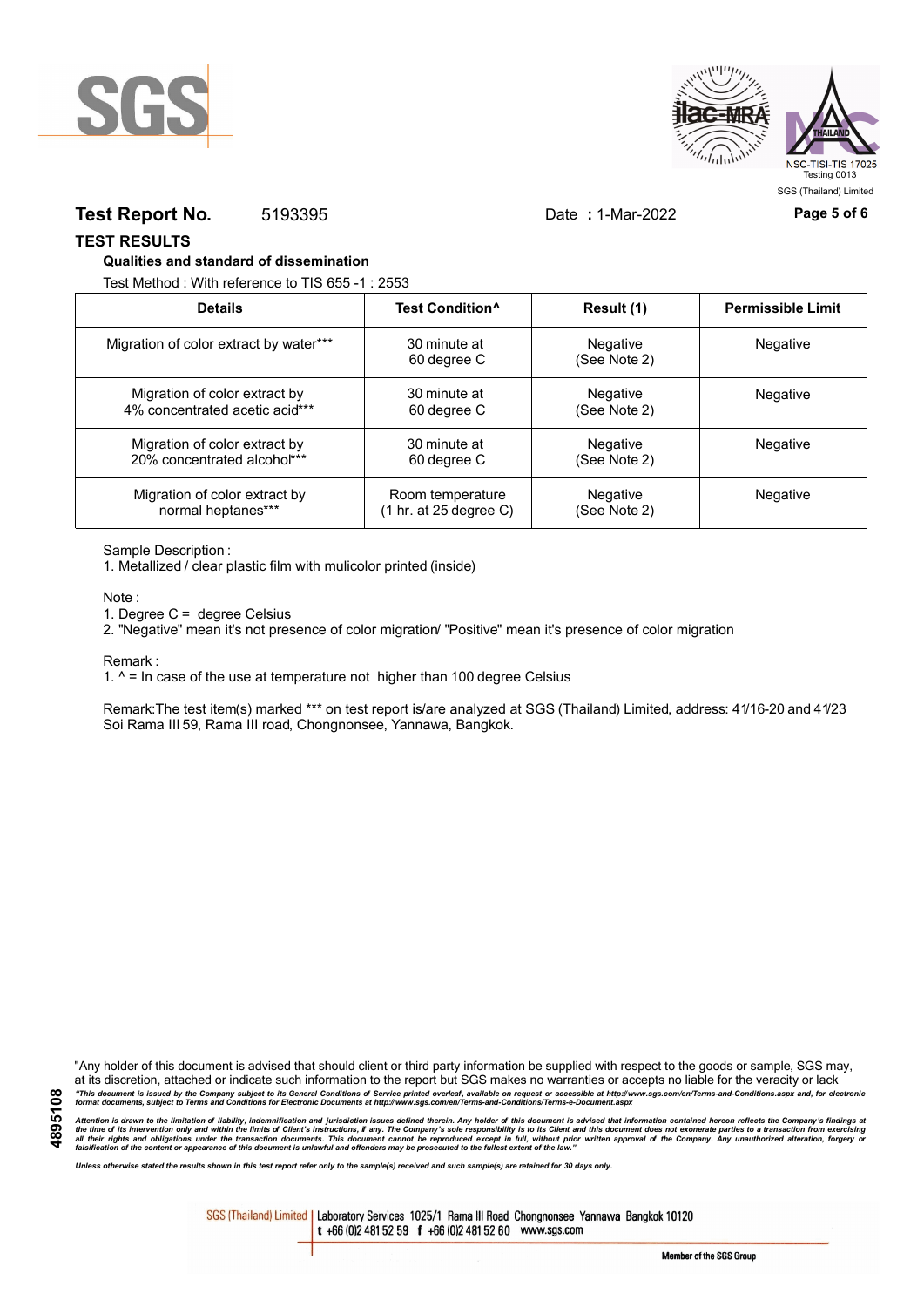



# **Test Report No.** 5193395 Date **:** 1-Mar-2022 **Page 5 of 6**

### **TEST RESULTS**

### **Qualities and standard of dissemination**

Test Method : With reference to TIS 655 -1 : 2553

| <b>Details</b>                         | Test Condition <sup>^</sup> | Result (1)               | <b>Permissible Limit</b> |
|----------------------------------------|-----------------------------|--------------------------|--------------------------|
| Migration of color extract by water*** | 30 minute at<br>60 degree C | Negative<br>(See Note 2) | <b>Negative</b>          |
| Migration of color extract by          | 30 minute at                | Negative                 | Negative                 |
| 4% concentrated acetic acid***         | 60 degree C                 | (See Note 2)             |                          |
| Migration of color extract by          | 30 minute at                | Negative                 | <b>Negative</b>          |
| 20% concentrated alcohol***            | 60 degree C                 | (See Note 2)             |                          |
| Migration of color extract by          | Room temperature            | Negative                 | <b>Negative</b>          |
| normal heptanes***                     | (1 hr. at 25 degree C)      | (See Note 2)             |                          |

#### Sample Description :

1. Metallized / clear plastic film with mulicolor printed (inside)

Note :

1. Degree C = degree Celsius

2. "Negative" mean it's not presence of color migration/ "Positive" mean it's presence of color migration

#### Remark :

1.  $^{\circ}$  = In case of the use at temperature not higher than 100 degree Celsius

Remark:The test item(s) marked \*\*\* on test report is/are analyzed at SGS (Thailand) Limited, address: 41/16-20 and 41/23 Soi Rama III 59, Rama III road, Chongnonsee, Yannawa, Bangkok.

**4895108**

"Any holder of this document is advised that should client or third party information be supplied with respect to the goods or sample, SGS may, at its discretion, attached or indicate such information to the report but SGS makes no warranties or accepts no liable for the veracity or lack "This document is issued by the Company subject to its General Conditions of Service printed overleaf, available on request or accessible at http://www.sgs.com/en/Terms-and-Conditions.aspx and, for electronic<br>format docume

Attention is drawn to the limitation of liability, indemnification and jurisdiction issues defined therein. Any holder of this document is advised that information contained hereon reflects the Company's findings at<br>all th

*Unless otherwise stated the results shown in this test report refer only to the sample(s) received and such sample(s) are retained for 30 days only.*

SGS (Thailand) Limited | Laboratory Services 1025/1 Rama III Road Chongnonsee Yannawa Bangkok 10120 t +66 (0)2 481 52 59 f +66 (0)2 481 52 60 www.sgs.com